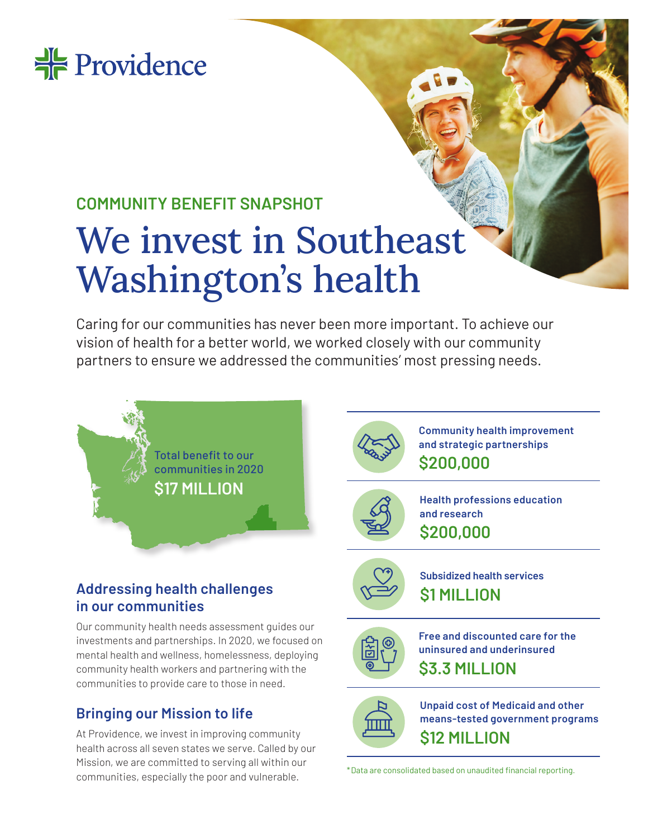

## **COMMUNITY BENEFIT SNAPSHOT**

# We invest in Southeast Washington's health

Caring for our communities has never been more important. To achieve our vision of health for a better world, we worked closely with our community partners to ensure we addressed the communities' most pressing needs.



### **Addressing health challenges in our communities**

Our community health needs assessment guides our investments and partnerships. In 2020, we focused on mental health and wellness, homelessness, deploying community health workers and partnering with the communities to provide care to those in need.

### **Bringing our Mission to life**

At Providence, we invest in improving community health across all seven states we serve. Called by our Mission, we are committed to serving all within our communities, especially the poor and vulnerable.  $*$ Data are consolidated based on unaudited financial reporting.



**Community health improvement and strategic partnerships \$200,000**



**Health professions education and research \$200,000**



**Subsidized health services \$1 MILLION**



**Free and discounted care for the uninsured and underinsured \$3.3 MILLION**



**Unpaid cost of Medicaid and other means-tested government programs \$12 MILLION**